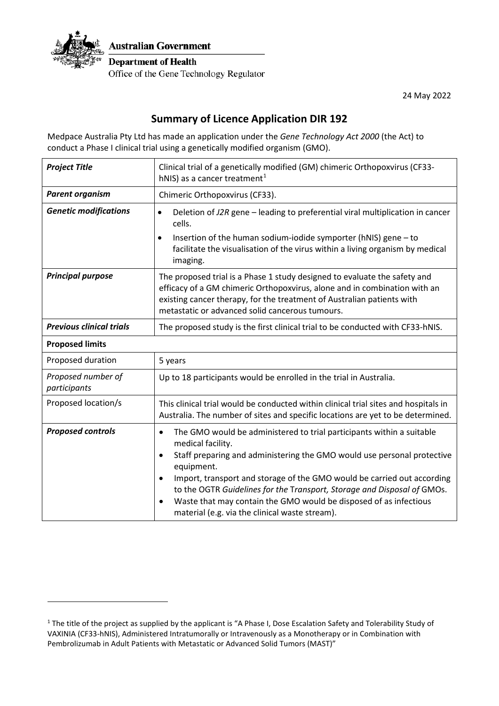

24 May 2022

## **Summary of Licence Application DIR 192**

Medpace Australia Pty Ltd has made an application under the *Gene Technology Act 2000* (the Act) to conduct a Phase I clinical trial using a genetically modified organism (GMO).

| <b>Project Title</b>               | Clinical trial of a genetically modified (GM) chimeric Orthopoxvirus (CF33-<br>hNIS) as a cancer treatment <sup>1</sup>                                                                                                                                                                                                                                                                                                                                                                                              |
|------------------------------------|----------------------------------------------------------------------------------------------------------------------------------------------------------------------------------------------------------------------------------------------------------------------------------------------------------------------------------------------------------------------------------------------------------------------------------------------------------------------------------------------------------------------|
| <b>Parent organism</b>             | Chimeric Orthopoxvirus (CF33).                                                                                                                                                                                                                                                                                                                                                                                                                                                                                       |
| <b>Genetic modifications</b>       | Deletion of J2R gene - leading to preferential viral multiplication in cancer<br>$\bullet$<br>cells.                                                                                                                                                                                                                                                                                                                                                                                                                 |
|                                    | Insertion of the human sodium-iodide symporter (hNIS) gene - to<br>facilitate the visualisation of the virus within a living organism by medical<br>imaging.                                                                                                                                                                                                                                                                                                                                                         |
| <b>Principal purpose</b>           | The proposed trial is a Phase 1 study designed to evaluate the safety and<br>efficacy of a GM chimeric Orthopoxvirus, alone and in combination with an<br>existing cancer therapy, for the treatment of Australian patients with<br>metastatic or advanced solid cancerous tumours.                                                                                                                                                                                                                                  |
| <b>Previous clinical trials</b>    | The proposed study is the first clinical trial to be conducted with CF33-hNIS.                                                                                                                                                                                                                                                                                                                                                                                                                                       |
| <b>Proposed limits</b>             |                                                                                                                                                                                                                                                                                                                                                                                                                                                                                                                      |
| Proposed duration                  | 5 years                                                                                                                                                                                                                                                                                                                                                                                                                                                                                                              |
| Proposed number of<br>participants | Up to 18 participants would be enrolled in the trial in Australia.                                                                                                                                                                                                                                                                                                                                                                                                                                                   |
| Proposed location/s                | This clinical trial would be conducted within clinical trial sites and hospitals in<br>Australia. The number of sites and specific locations are yet to be determined.                                                                                                                                                                                                                                                                                                                                               |
| <b>Proposed controls</b>           | The GMO would be administered to trial participants within a suitable<br>$\bullet$<br>medical facility.<br>Staff preparing and administering the GMO would use personal protective<br>$\bullet$<br>equipment.<br>Import, transport and storage of the GMO would be carried out according<br>$\bullet$<br>to the OGTR Guidelines for the Transport, Storage and Disposal of GMOs.<br>Waste that may contain the GMO would be disposed of as infectious<br>$\bullet$<br>material (e.g. via the clinical waste stream). |

<span id="page-0-0"></span><sup>&</sup>lt;sup>1</sup> The title of the project as supplied by the applicant is "A Phase I, Dose Escalation Safety and Tolerability Study of VAXINIA (CF33-hNIS), Administered Intratumorally or Intravenously as a Monotherapy or in Combination with Pembrolizumab in Adult Patients with Metastatic or Advanced Solid Tumors (MAST)"